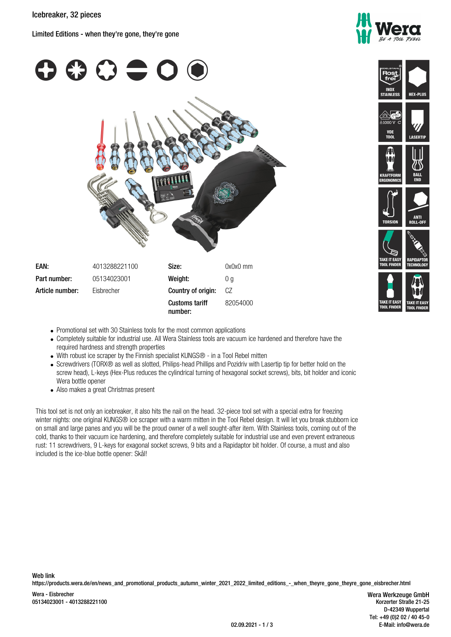Limited Editions - when they're gone, they're gone



**VDE** 





nni F

- Promotional set with 30 Stainless tools for the most common applications
- Completely suitable for industrial use. All Wera Stainless tools are vacuum ice hardened and therefore have the required hardness and strength properties
- With robust ice scraper by the Finnish specialist KUNGS® in a Tool Rebel mitten
- Screwdrivers (TORX® as well as slotted, Philips-head Phillips and Pozidriv with Lasertip tip for better hold on the screw head), L-keys (Hex-Plus reduces the cylindrical turning of hexagonal socket screws), bits, bit holder and iconic Wera bottle opener
- Also makes a great Christmas present

This tool set is not only an icebreaker, it also hits the nail on the head. 32-piece tool set with a special extra for freezing winter nights: one original KUNGS® ice scraper with a warm mitten in the Tool Rebel design. It will let you break stubborn ice on small and large panes and you will be the proud owner of a well sought-after item. With Stainless tools, coming out of the cold, thanks to their vacuum ice hardening, and therefore completely suitable for industrial use and even prevent extraneous rust: 11 screwdrivers, 9 L-keys for exagonal socket screws, 9 bits and a Rapidaptor bit holder. Of course, a must and also included is the ice-blue bottle opener: Skål!

https://products.wera.de/en/news\_and\_promotional\_products\_autumn\_winter\_2021\_2022\_limited\_editions\_-\_when\_theyre\_gone\_theyre\_gone\_eisbrecher.html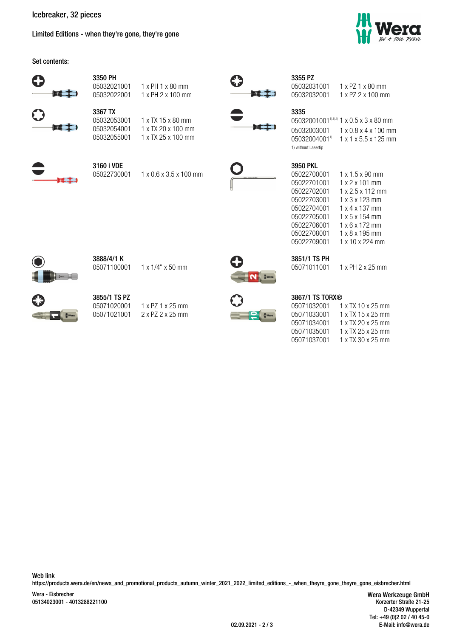**Icebreaker, 32 pieces**

Limited Editions - when they're gone, they're gone





https://products.wera.de/en/news\_and\_promotional\_products\_autumn\_winter\_2021\_2022\_limited\_editions\_-\_when\_theyre\_gone\_theyre\_gone\_eisbrecher.html